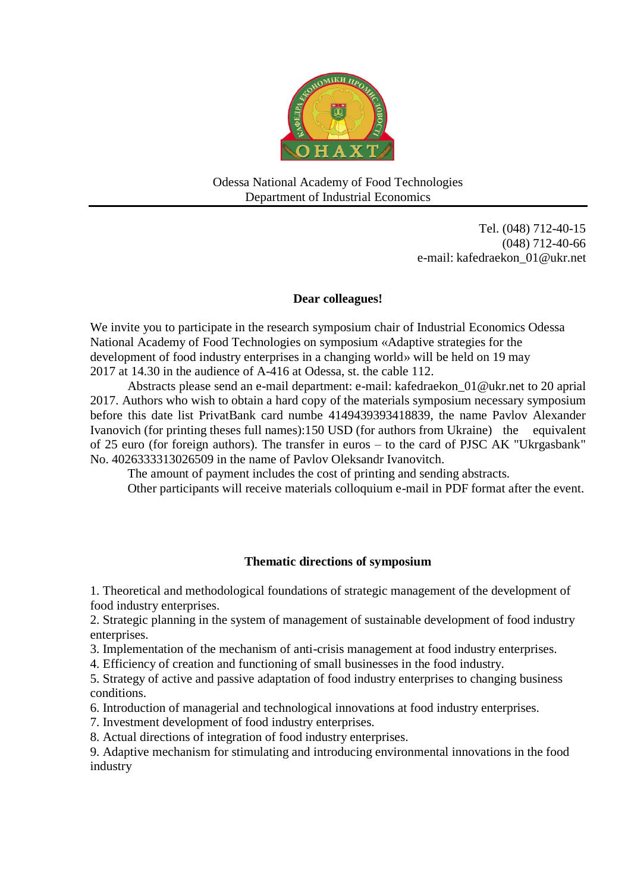

Odessa National Academy of Food Technologies Department of Industrial Economics

> Tel. (048) 712-40-15 (048) 712-40-66 e-mail: [kafedraekon\\_01@ukr.net](mailto:kafedraekon_01@ukr.net)

### **Dear colleagues!**

We invite you to participate in the research symposium chair of Industrial Economics Odessa National Academy of Food Technologies on symposium «Adaptive strategies for the development of food industry enterprises in a changing world» will be held on 19 may 2017 at 14.30 in the audience of A-416 at Odessa, st. the cable 112.

Abstracts please send an e-mail department: e-mail: kafedraekon\_01@ukr.net to 20 aprial 2017. Authors who wish to obtain a hard copy of the materials symposium necessary symposium before this date list PrivatBank card numbe 4149439393418839, the name Pavlov Alexander Ivanovich (for printing theses full names):150 USD (for authors from Ukraine) the equivalent of 25 euro (for foreign authors). The transfer in euros – to the card of PJSC AK "Ukrgasbank" No. 4026333313026509 in the name of Pavlov Oleksandr Ivanovitch.

The amount of payment includes the cost of printing and sending abstracts.

Other participants will receive materials colloquium e-mail in PDF format after the event.

## **Thematic directions of symposium**

1. Theoretical and methodological foundations of strategic management of the development of food industry enterprises.

2. Strategic planning in the system of management of sustainable development of food industry enterprises.

3. Implementation of the mechanism of anti-crisis management at food industry enterprises.

4. Efficiency of creation and functioning of small businesses in the food industry.

5. Strategy of active and passive adaptation of food industry enterprises to changing business conditions.

6. Introduction of managerial and technological innovations at food industry enterprises.

7. Investment development of food industry enterprises.

8. Actual directions of integration of food industry enterprises.

9. Adaptive mechanism for stimulating and introducing environmental innovations in the food industry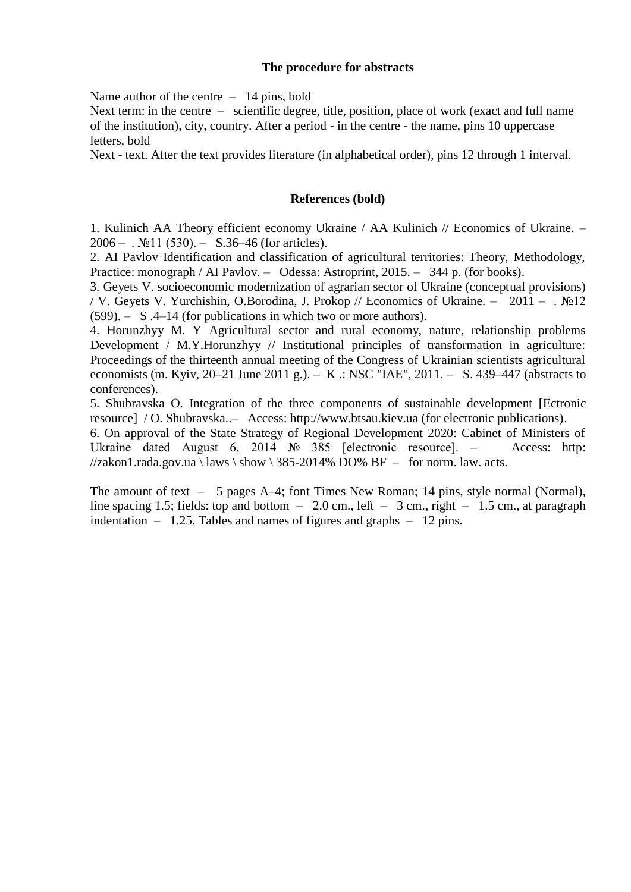### **The procedure for abstracts**

Name author of the centre  $-14$  pins, bold

Next term: in the centre – scientific degree, title, position, place of work (exact and full name of the institution), city, country. After a period - in the centre - the name, pins 10 uppercase letters, bold

Next - text. After the text provides literature (in alphabetical order), pins 12 through 1 interval.

#### **References (bold)**

1. Kulinich AA Theory efficient economy Ukraine / AA Kulinich // Economics of Ukraine. –  $2006 -$ .  $\text{N}$ <sup>o</sup> 11 (530). – S.36–46 (for articles).

2. AI Pavlov Identification and classification of agricultural territories: Theory, Methodology, Practice: monograph / AI Pavlov. – Odessa: Astroprint, 2015. – 344 p. (for books).

3. Geyets V. socioeconomic modernization of agrarian sector of Ukraine (conceptual provisions) / V. Geyets V. Yurchishin, O.Borodina, J. Prokop // Economics of Ukraine. – 2011 – . №12 (599). – S .4–14 (for publications in which two or more authors).

4. Horunzhyy M. Y Agricultural sector and rural economy, nature, relationship problems Development / M.Y.Horunzhyy // Institutional principles of transformation in agriculture: Proceedings of the thirteenth annual meeting of the Congress of Ukrainian scientists agricultural economists (m. Kyiv, 20–21 June 2011 g.). – K .: NSC "IAE", 2011. – S. 439–447 (abstracts to conferences).

5. Shubravska О. Integration of the three components of sustainable development [Еctronic resource] / O. Shubravska..– Access: http://www.btsau.kiev.ua (for electronic publications).

6. On approval of the State Strategy of Regional Development 2020: Cabinet of Ministers of Ukraine dated August 6, 2014 № 385 [electronic resource]. – Access: http:  $\frac{\pi}{4}$  //zakon1.rada.gov.ua \ laws \ show \ 385-2014% DO% BF – for norm. law. acts.

The amount of text – 5 pages A–4; font Times New Roman; 14 pins, style normal (Normal), line spacing 1.5; fields: top and bottom  $-2.0$  cm., left  $-3$  cm., right  $-1.5$  cm., at paragraph indentation – 1.25. Тables and names of figures and graphs – 12 pins.